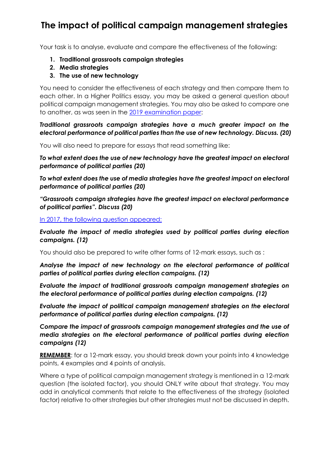## **The impact of political campaign management strategies**

Your task is to analyse, evaluate and compare the effectiveness of the following:

- **1. Traditional grassroots campaign strategies**
- **2. Media strategies**
- **3. The use of new technology**

You need to consider the effectiveness of each strategy and then compare them to each other. In a Higher Politics essay, you may be asked a general question about political campaign management strategies. You may also be asked to compare one to another, as was seen in the [2019 examination paper:](https://www.sqa.org.uk/pastpapers/papers/papers/2019/NH_Politics_all_2019.pdf)

*Traditional grassroots campaign strategies have a much greater impact on the electoral performance of political parties than the use of new technology. Discuss. (20)*

You will also need to prepare for essays that read something like:

*To what extent does the use of new technology have the greatest impact on electoral performance of political parties (20)*

*To what extent does the use of media strategies have the greatest impact on electoral performance of political parties (20)*

*"Grassroots campaign strategies have the greatest impact on electoral performance of political parties". Discuss (20)*

[In 2017, the following question appeared:](https://www.sqa.org.uk/pastpapers/papers/papers/2017/NH_Politics_QP_2017.pdf)

*Evaluate the impact of media strategies used by political parties during election campaigns. (12)*

You should also be prepared to write other forms of 12-mark essays, such as :

*Analyse the impact of new technology on the electoral performance of political parties of political parties during election campaigns. (12)*

*Evaluate the impact of traditional grassroots campaign management strategies on the electoral performance of political parties during election campaigns. (12)*

*Evaluate the impact of political campaign management strategies on the electoral performance of political parties during election campaigns. (12)*

*Compare the impact of grassroots campaign management strategies and the use of media strategies on the electoral performance of political parties during election campaigns (12)*

**REMEMBER**: for a 12-mark essay, you should break down your points into 4 knowledge points, 4 examples and 4 points of analysis.

Where a type of political campaign management strategy is mentioned in a 12-mark question (the isolated factor), you should ONLY write about that strategy. You may add in analytical comments that relate to the effectiveness of the strategy (isolated factor) relative to other strategies but other strategies must not be discussed in depth.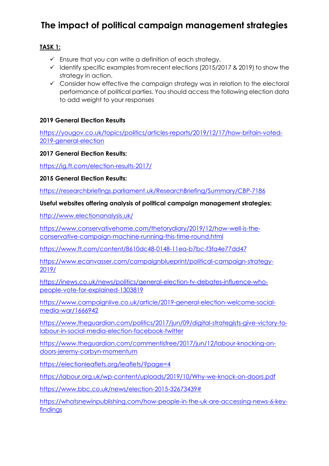# **The impact of political campaign management strategies**

### **TASK 1:**

- $\checkmark$  Ensure that you can write a definition of each strategy.
- $\checkmark$  Identify specific examples from recent elections (2015/2017 & 2019) to show the strategy in action.
- $\checkmark$  Consider how effective the campaign strategy was in relation to the electoral performance of political parties. You should access the following election data to add weight to your responses

#### **2019 General Election Results**

[https://yougov.co.uk/topics/politics/articles-reports/2019/12/17/how-britain-voted-](https://yougov.co.uk/topics/politics/articles-reports/2019/12/17/how-britain-voted-2019-general-election)[2019-general-election](https://yougov.co.uk/topics/politics/articles-reports/2019/12/17/how-britain-voted-2019-general-election)

#### **2017 General Election Results:**

<https://ig.ft.com/election-results-2017/>

**2015 General Election Results:**

<https://researchbriefings.parliament.uk/ResearchBriefing/Summary/CBP-7186>

#### **Useful websites offering analysis of political campaign management strategies:**

<http://www.electionanalysis.uk/>

[https://www.conservativehome.com/thetorydiary/2019/12/how-well-is-the](https://www.conservativehome.com/thetorydiary/2019/12/how-well-is-the-conservative-campaign-machine-running-this-time-round.html)[conservative-campaign-machine-running-this-time-round.html](https://www.conservativehome.com/thetorydiary/2019/12/how-well-is-the-conservative-campaign-machine-running-this-time-round.html)

<https://www.ft.com/content/8610dc48-0148-11ea-b7bc-f3fa4e77dd47>

[https://www.ecanvasser.com/campaignblueprint/political-campaign-strategy-](https://www.ecanvasser.com/campaignblueprint/political-campaign-strategy-2019/)[2019/](https://www.ecanvasser.com/campaignblueprint/political-campaign-strategy-2019/)

[https://inews.co.uk/news/politics/general-election-tv-debates-influence-who](https://inews.co.uk/news/politics/general-election-tv-debates-influence-who-people-vote-for-explained-1303819)[people-vote-for-explained-1303819](https://inews.co.uk/news/politics/general-election-tv-debates-influence-who-people-vote-for-explained-1303819)

[https://www.campaignlive.co.uk/article/2019-general-election-welcome-social](https://www.campaignlive.co.uk/article/2019-general-election-welcome-social-media-war/1666942)[media-war/1666942](https://www.campaignlive.co.uk/article/2019-general-election-welcome-social-media-war/1666942)

[https://www.theguardian.com/politics/2017/jun/09/digital-strategists-give-victory-to](https://www.theguardian.com/politics/2017/jun/09/digital-strategists-give-victory-to-labour-in-social-media-election-facebook-twitter)[labour-in-social-media-election-facebook-twitter](https://www.theguardian.com/politics/2017/jun/09/digital-strategists-give-victory-to-labour-in-social-media-election-facebook-twitter)

[https://www.theguardian.com/commentisfree/2017/jun/12/labour-knocking-on](https://www.theguardian.com/commentisfree/2017/jun/12/labour-knocking-on-doors-jeremy-corbyn-momentum)[doors-jeremy-corbyn-momentum](https://www.theguardian.com/commentisfree/2017/jun/12/labour-knocking-on-doors-jeremy-corbyn-momentum)

<https://electionleaflets.org/leaflets/?page=4>

<https://labour.org.uk/wp-content/uploads/2019/10/Why-we-knock-on-doors.pdf>

[https://www.bbc.co.uk/news/election-2015-32673439#](https://www.bbc.co.uk/news/election-2015-32673439)

[https://whatsnewinpublishing.com/how-people-in-the-uk-are-accessing-news-6-key](https://whatsnewinpublishing.com/how-people-in-the-uk-are-accessing-news-6-key-findings)**[findings](https://whatsnewinpublishing.com/how-people-in-the-uk-are-accessing-news-6-key-findings)**